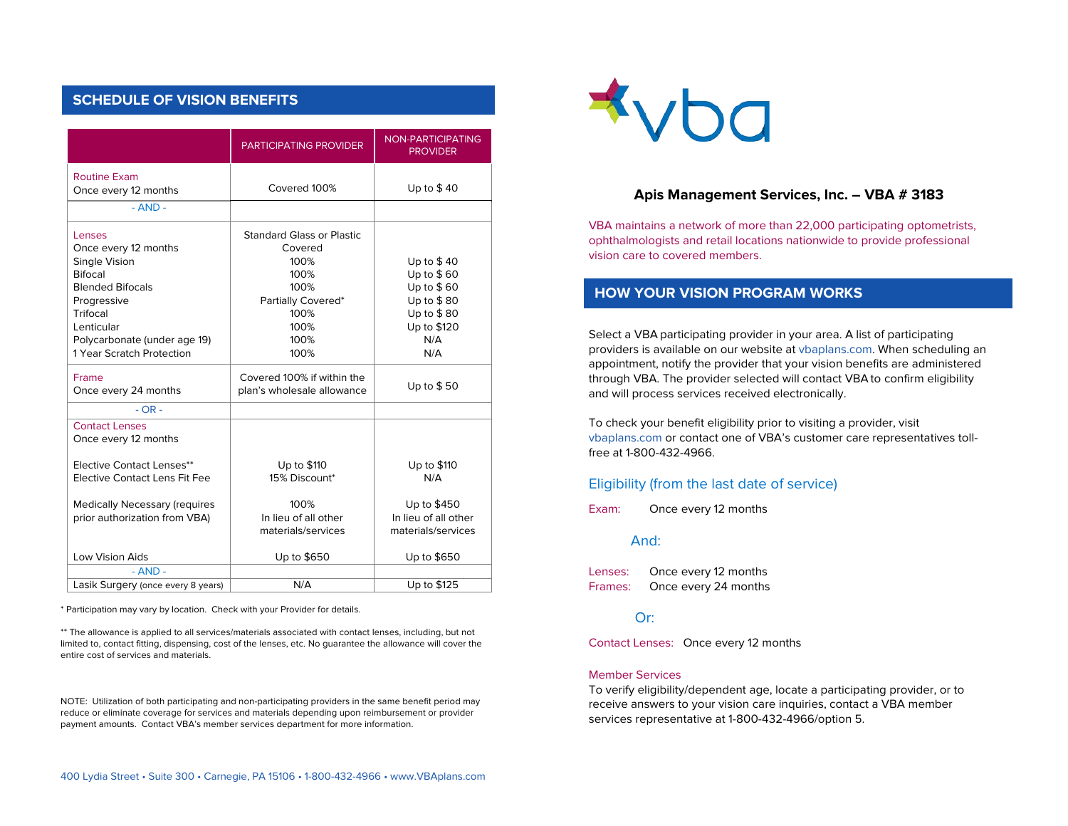# **SCHEDULE OF VISION BENEFITS**

|                                      | <b>PARTICIPATING PROVIDER</b>    | <b>NON-PARTICIPATING</b><br><b>PROVIDER</b> |
|--------------------------------------|----------------------------------|---------------------------------------------|
| <b>Routine Exam</b>                  |                                  |                                             |
| Once every 12 months                 | Covered 100%                     | Up to $$40$                                 |
| $- AND -$                            |                                  |                                             |
| Lenses                               | <b>Standard Glass or Plastic</b> |                                             |
| Once every 12 months                 | Covered                          |                                             |
| Single Vision                        | 100%                             | Up to $$40$                                 |
| <b>Bifocal</b>                       | 100%                             | Up to $$60$                                 |
| <b>Blended Bifocals</b>              | 100%                             | Up to $$60$                                 |
| Progressive                          | Partially Covered*               | Up to \$80                                  |
| Trifocal                             | 100%                             | Up to $$80$                                 |
| Lenticular                           | 100%                             | Up to \$120                                 |
| Polycarbonate (under age 19)         | 100%                             | N/A                                         |
| 1 Year Scratch Protection            | 100%                             | N/A                                         |
| Frame                                | Covered 100% if within the       |                                             |
| Once every 24 months                 | plan's wholesale allowance       | Up to \$50                                  |
| $-$ OR $-$                           |                                  |                                             |
| <b>Contact Lenses</b>                |                                  |                                             |
| Once every 12 months                 |                                  |                                             |
| Elective Contact Lenses**            | Up to \$110                      | Up to \$110                                 |
| Elective Contact Lens Fit Fee        | 15% Discount*                    | N/A                                         |
|                                      |                                  |                                             |
| <b>Medically Necessary (requires</b> | 100%                             | Up to \$450                                 |
| prior authorization from VBA)        | In lieu of all other             | In lieu of all other                        |
|                                      | materials/services               | materials/services                          |
| Low Vision Aids                      | Up to \$650                      | Up to \$650                                 |
| $- AND -$                            |                                  |                                             |
| Lasik Surgery (once every 8 years)   | N/A                              | Up to \$125                                 |
|                                      |                                  |                                             |

\* Participation may vary by location. Check with your Provider for details.

\*\* The allowance is applied to all services/materials associated with contact lenses, including, but not limited to, contact fitting, dispensing, cost of the lenses, etc. No guarantee the allowance will cover the entire cost of services and materials.

NOTE: Utilization of both participating and non-participating providers in the same benefit period may reduce or eliminate coverage for services and materials depending upon reimbursement or provider payment amounts. Contact VBA's member services department for more information.



## **Apis Management Services, Inc. – VBA # 3183**

VBA maintains a network of more than 22,000 participating optometrists, ophthalmologists and retail locations nationwide to provide professional vision care to covered members.

## **HOW YOUR VISION PROGRAM WORKS**

Select a VBA participating provider in your area. A list of participating providers is available on our website a[t vbaplans.com.](http://www.vbaplans.com/) When scheduling an appointment, notify the provider that your vision benefits are administered through VBA. The provider selected will contact VBA to confirm eligibility and will process services received electronically.

To check your benefit eligibility prior to visiting a provider, visit [vbaplans.com](http://www.vbaplans.com/) or contact one of VBA's customer care representatives tollfree at 1-800-432-4966.

## Eligibility (from the last date of service)

Exam: Once every 12 months

### And:

Lenses: Once every 12 months Frames: Once every 24 months

## Or:

Contact Lenses: Once every 12 months

### Member Services

To verify eligibility/dependent age, locate a participating provider, or to receive answers to your vision care inquiries, contact a VBA member services representative at 1-800-432-4966/option 5.